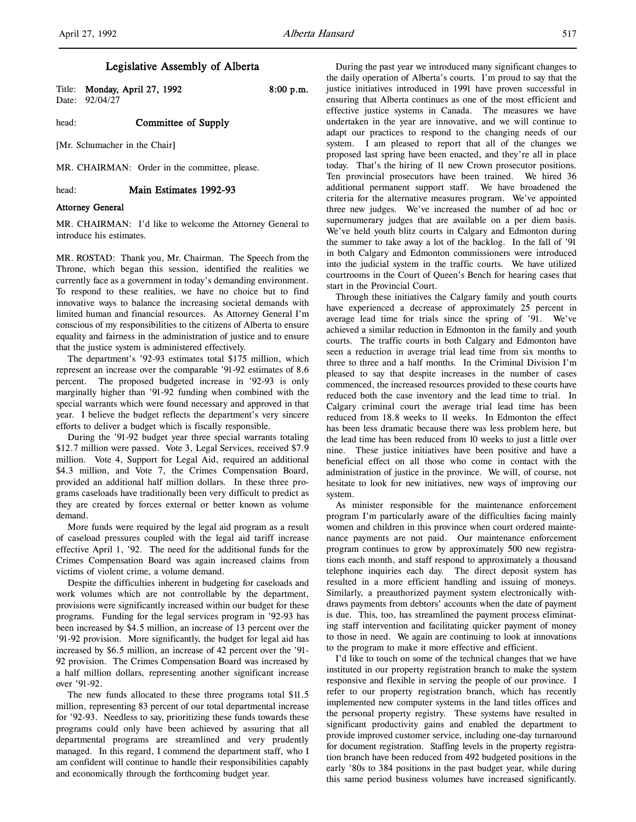# Legislative Assembly of Alberta

Date: 92/04/27

Title: **Monday, April 27, 1992** 8:00 p.m.

head: **Committee of Supply** 

[Mr. Schumacher in the Chair]

MR. CHAIRMAN: Order in the committee, please.

head: Main Estimates 1992-93

#### Attorney General

MR. CHAIRMAN: I'd like to welcome the Attorney General to introduce his estimates.

MR. ROSTAD: Thank you, Mr. Chairman. The Speech from the Throne, which began this session, identified the realities we currently face as a government in today's demanding environment. To respond to these realities, we have no choice but to find innovative ways to balance the increasing societal demands with limited human and financial resources. As Attorney General I'm conscious of my responsibilities to the citizens of Alberta to ensure equality and fairness in the administration of justice and to ensure that the justice system is administered effectively.

The department's '92-93 estimates total \$175 million, which represent an increase over the comparable '91-92 estimates of 8.6 percent. The proposed budgeted increase in '92-93 is only marginally higher than '91-92 funding when combined with the special warrants which were found necessary and approved in that year. I believe the budget reflects the department's very sincere efforts to deliver a budget which is fiscally responsible.

During the '91-92 budget year three special warrants totaling \$12.7 million were passed. Vote 3, Legal Services, received \$7.9 million. Vote 4, Support for Legal Aid, required an additional \$4.3 million, and Vote 7, the Crimes Compensation Board, provided an additional half million dollars. In these three programs caseloads have traditionally been very difficult to predict as they are created by forces external or better known as volume demand.

More funds were required by the legal aid program as a result of caseload pressures coupled with the legal aid tariff increase effective April 1, '92. The need for the additional funds for the Crimes Compensation Board was again increased claims from victims of violent crime, a volume demand.

Despite the difficulties inherent in budgeting for caseloads and work volumes which are not controllable by the department, provisions were significantly increased within our budget for these programs. Funding for the legal services program in '92-93 has been increased by \$4.5 million, an increase of 13 percent over the '91-92 provision. More significantly, the budget for legal aid has increased by \$6.5 million, an increase of 42 percent over the '91- 92 provision. The Crimes Compensation Board was increased by a half million dollars, representing another significant increase over '91-92.

The new funds allocated to these three programs total \$11.5 million, representing 83 percent of our total departmental increase for '92-93. Needless to say, prioritizing these funds towards these programs could only have been achieved by assuring that all departmental programs are streamlined and very prudently managed. In this regard, I commend the department staff, who I am confident will continue to handle their responsibilities capably and economically through the forthcoming budget year.

During the past year we introduced many significant changes to the daily operation of Alberta's courts. I'm proud to say that the justice initiatives introduced in 1991 have proven successful in ensuring that Alberta continues as one of the most efficient and effective justice systems in Canada. The measures we have undertaken in the year are innovative, and we will continue to adapt our practices to respond to the changing needs of our system. I am pleased to report that all of the changes we proposed last spring have been enacted, and they're all in place today. That's the hiring of 11 new Crown prosecutor positions. Ten provincial prosecutors have been trained. We hired 36 additional permanent support staff. We have broadened the criteria for the alternative measures program. We've appointed three new judges. We've increased the number of ad hoc or supernumerary judges that are available on a per diem basis. We've held youth blitz courts in Calgary and Edmonton during the summer to take away a lot of the backlog. In the fall of '91 in both Calgary and Edmonton commissioners were introduced into the judicial system in the traffic courts. We have utilized courtrooms in the Court of Queen's Bench for hearing cases that start in the Provincial Court.

Through these initiatives the Calgary family and youth courts have experienced a decrease of approximately 25 percent in average lead time for trials since the spring of '91. We've achieved a similar reduction in Edmonton in the family and youth courts. The traffic courts in both Calgary and Edmonton have seen a reduction in average trial lead time from six months to three to three and a half months. In the Criminal Division I'm pleased to say that despite increases in the number of cases commenced, the increased resources provided to these courts have reduced both the case inventory and the lead time to trial. In Calgary criminal court the average trial lead time has been reduced from 18.8 weeks to 11 weeks. In Edmonton the effect has been less dramatic because there was less problem here, but the lead time has been reduced from 10 weeks to just a little over nine. These justice initiatives have been positive and have a beneficial effect on all those who come in contact with the administration of justice in the province. We will, of course, not hesitate to look for new initiatives, new ways of improving our system.

As minister responsible for the maintenance enforcement program I'm particularly aware of the difficulties facing mainly women and children in this province when court ordered maintenance payments are not paid. Our maintenance enforcement program continues to grow by approximately 500 new registrations each month, and staff respond to approximately a thousand telephone inquiries each day. The direct deposit system has resulted in a more efficient handling and issuing of moneys. Similarly, a preauthorized payment system electronically withdraws payments from debtors' accounts when the date of payment is due. This, too, has streamlined the payment process eliminating staff intervention and facilitating quicker payment of money to those in need. We again are continuing to look at innovations to the program to make it more effective and efficient.

I'd like to touch on some of the technical changes that we have instituted in our property registration branch to make the system responsive and flexible in serving the people of our province. I refer to our property registration branch, which has recently implemented new computer systems in the land titles offices and the personal property registry. These systems have resulted in significant productivity gains and enabled the department to provide improved customer service, including one-day turnaround for document registration. Staffing levels in the property registration branch have been reduced from 492 budgeted positions in the early '80s to 384 positions in the past budget year, while during this same period business volumes have increased significantly.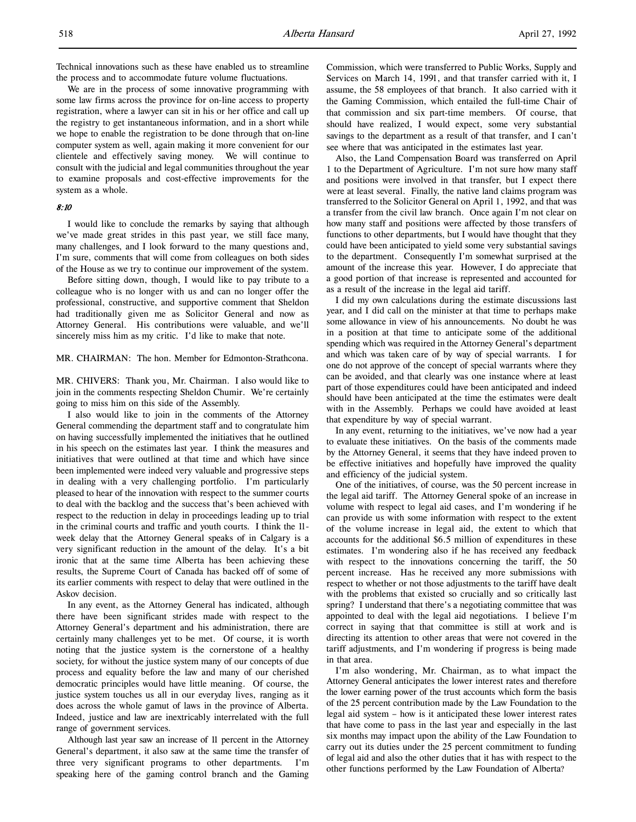Technical innovations such as these have enabled us to streamline the process and to accommodate future volume fluctuations.

We are in the process of some innovative programming with some law firms across the province for on-line access to property registration, where a lawyer can sit in his or her office and call up the registry to get instantaneous information, and in a short while we hope to enable the registration to be done through that on-line computer system as well, again making it more convenient for our clientele and effectively saving money. We will continue to consult with the judicial and legal communities throughout the year to examine proposals and cost-effective improvements for the system as a whole.

## 8:10

I would like to conclude the remarks by saying that although we've made great strides in this past year, we still face many, many challenges, and I look forward to the many questions and, I'm sure, comments that will come from colleagues on both sides of the House as we try to continue our improvement of the system.

Before sitting down, though, I would like to pay tribute to a colleague who is no longer with us and can no longer offer the professional, constructive, and supportive comment that Sheldon had traditionally given me as Solicitor General and now as Attorney General. His contributions were valuable, and we'll sincerely miss him as my critic. I'd like to make that note.

## MR. CHAIRMAN: The hon. Member for Edmonton-Strathcona.

MR. CHIVERS: Thank you, Mr. Chairman. I also would like to join in the comments respecting Sheldon Chumir. We're certainly going to miss him on this side of the Assembly.

I also would like to join in the comments of the Attorney General commending the department staff and to congratulate him on having successfully implemented the initiatives that he outlined in his speech on the estimates last year. I think the measures and initiatives that were outlined at that time and which have since been implemented were indeed very valuable and progressive steps in dealing with a very challenging portfolio. I'm particularly pleased to hear of the innovation with respect to the summer courts to deal with the backlog and the success that's been achieved with respect to the reduction in delay in proceedings leading up to trial in the criminal courts and traffic and youth courts. I think the 11 week delay that the Attorney General speaks of in Calgary is a very significant reduction in the amount of the delay. It's a bit ironic that at the same time Alberta has been achieving these results, the Supreme Court of Canada has backed off of some of its earlier comments with respect to delay that were outlined in the Askov decision.

In any event, as the Attorney General has indicated, although there have been significant strides made with respect to the Attorney General's department and his administration, there are certainly many challenges yet to be met. Of course, it is worth noting that the justice system is the cornerstone of a healthy society, for without the justice system many of our concepts of due process and equality before the law and many of our cherished democratic principles would have little meaning. Of course, the justice system touches us all in our everyday lives, ranging as it does across the whole gamut of laws in the province of Alberta. Indeed, justice and law are inextricably interrelated with the full range of government services.

Although last year saw an increase of 11 percent in the Attorney General's department, it also saw at the same time the transfer of three very significant programs to other departments. I'm speaking here of the gaming control branch and the Gaming

Commission, which were transferred to Public Works, Supply and Services on March 14, 1991, and that transfer carried with it, I assume, the 58 employees of that branch. It also carried with it the Gaming Commission, which entailed the full-time Chair of that commission and six part-time members. Of course, that should have realized, I would expect, some very substantial savings to the department as a result of that transfer, and I can't see where that was anticipated in the estimates last year.

Also, the Land Compensation Board was transferred on April 1 to the Department of Agriculture. I'm not sure how many staff and positions were involved in that transfer, but I expect there were at least several. Finally, the native land claims program was transferred to the Solicitor General on April 1, 1992, and that was a transfer from the civil law branch. Once again I'm not clear on how many staff and positions were affected by those transfers of functions to other departments, but I would have thought that they could have been anticipated to yield some very substantial savings to the department. Consequently I'm somewhat surprised at the amount of the increase this year. However, I do appreciate that a good portion of that increase is represented and accounted for as a result of the increase in the legal aid tariff.

I did my own calculations during the estimate discussions last year, and I did call on the minister at that time to perhaps make some allowance in view of his announcements. No doubt he was in a position at that time to anticipate some of the additional spending which was required in the Attorney General's department and which was taken care of by way of special warrants. I for one do not approve of the concept of special warrants where they can be avoided, and that clearly was one instance where at least part of those expenditures could have been anticipated and indeed should have been anticipated at the time the estimates were dealt with in the Assembly. Perhaps we could have avoided at least that expenditure by way of special warrant.

In any event, returning to the initiatives, we've now had a year to evaluate these initiatives. On the basis of the comments made by the Attorney General, it seems that they have indeed proven to be effective initiatives and hopefully have improved the quality and efficiency of the judicial system.

One of the initiatives, of course, was the 50 percent increase in the legal aid tariff. The Attorney General spoke of an increase in volume with respect to legal aid cases, and I'm wondering if he can provide us with some information with respect to the extent of the volume increase in legal aid, the extent to which that accounts for the additional \$6.5 million of expenditures in these estimates. I'm wondering also if he has received any feedback with respect to the innovations concerning the tariff, the 50 percent increase. Has he received any more submissions with respect to whether or not those adjustments to the tariff have dealt with the problems that existed so crucially and so critically last spring? I understand that there's a negotiating committee that was appointed to deal with the legal aid negotiations. I believe I'm correct in saying that that committee is still at work and is directing its attention to other areas that were not covered in the tariff adjustments, and I'm wondering if progress is being made in that area.

I'm also wondering, Mr. Chairman, as to what impact the Attorney General anticipates the lower interest rates and therefore the lower earning power of the trust accounts which form the basis of the 25 percent contribution made by the Law Foundation to the legal aid system – how is it anticipated these lower interest rates that have come to pass in the last year and especially in the last six months may impact upon the ability of the Law Foundation to carry out its duties under the 25 percent commitment to funding of legal aid and also the other duties that it has with respect to the other functions performed by the Law Foundation of Alberta?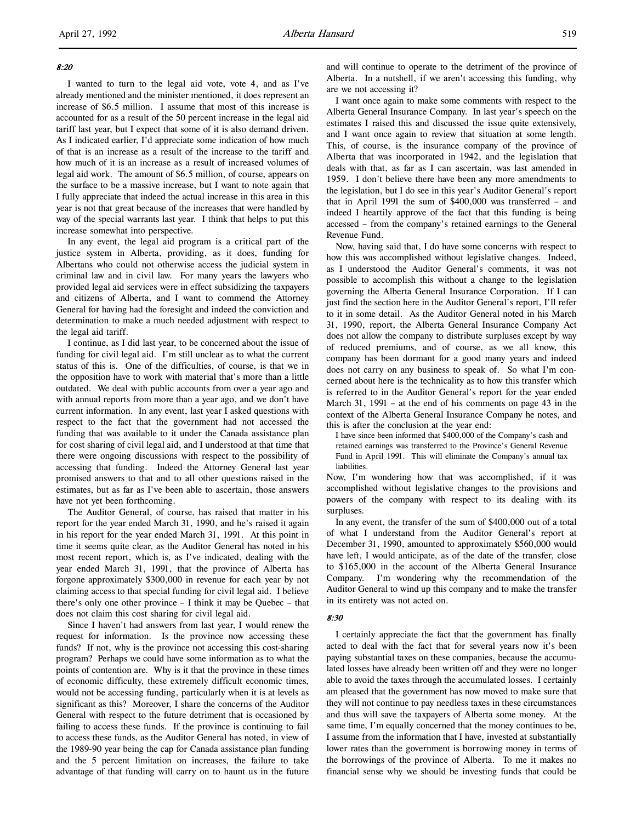## 8:20

l,

I wanted to turn to the legal aid vote, vote 4, and as I've already mentioned and the minister mentioned, it does represent an increase of \$6.5 million. I assume that most of this increase is accounted for as a result of the 50 percent increase in the legal aid tariff last year, but I expect that some of it is also demand driven. As I indicated earlier, I'd appreciate some indication of how much of that is an increase as a result of the increase to the tariff and how much of it is an increase as a result of increased volumes of legal aid work. The amount of \$6.5 million, of course, appears on the surface to be a massive increase, but I want to note again that I fully appreciate that indeed the actual increase in this area in this year is not that great because of the increases that were handled by way of the special warrants last year. I think that helps to put this increase somewhat into perspective.

In any event, the legal aid program is a critical part of the justice system in Alberta, providing, as it does, funding for Albertans who could not otherwise access the judicial system in criminal law and in civil law. For many years the lawyers who provided legal aid services were in effect subsidizing the taxpayers and citizens of Alberta, and I want to commend the Attorney General for having had the foresight and indeed the conviction and determination to make a much needed adjustment with respect to the legal aid tariff.

I continue, as I did last year, to be concerned about the issue of funding for civil legal aid. I'm still unclear as to what the current status of this is. One of the difficulties, of course, is that we in the opposition have to work with material that's more than a little outdated. We deal with public accounts from over a year ago and with annual reports from more than a year ago, and we don't have current information. In any event, last year I asked questions with respect to the fact that the government had not accessed the funding that was available to it under the Canada assistance plan for cost sharing of civil legal aid, and I understood at that time that there were ongoing discussions with respect to the possibility of accessing that funding. Indeed the Attorney General last year promised answers to that and to all other questions raised in the estimates, but as far as I've been able to ascertain, those answers have not yet been forthcoming.

The Auditor General, of course, has raised that matter in his report for the year ended March 31, 1990, and he's raised it again in his report for the year ended March 31, 1991. At this point in time it seems quite clear, as the Auditor General has noted in his most recent report, which is, as I've indicated, dealing with the year ended March 31, 1991, that the province of Alberta has forgone approximately \$300,000 in revenue for each year by not claiming access to that special funding for civil legal aid. I believe there's only one other province – I think it may be Quebec – that does not claim this cost sharing for civil legal aid.

Since I haven't had answers from last year, I would renew the request for information. Is the province now accessing these funds? If not, why is the province not accessing this cost-sharing program? Perhaps we could have some information as to what the points of contention are. Why is it that the province in these times of economic difficulty, these extremely difficult economic times, would not be accessing funding, particularly when it is at levels as significant as this? Moreover, I share the concerns of the Auditor General with respect to the future detriment that is occasioned by failing to access these funds. If the province is continuing to fail to access these funds, as the Auditor General has noted, in view of the 1989-90 year being the cap for Canada assistance plan funding and the 5 percent limitation on increases, the failure to take advantage of that funding will carry on to haunt us in the future

and will continue to operate to the detriment of the province of Alberta. In a nutshell, if we aren't accessing this funding, why are we not accessing it?

I want once again to make some comments with respect to the Alberta General Insurance Company. In last year's speech on the estimates I raised this and discussed the issue quite extensively, and I want once again to review that situation at some length. This, of course, is the insurance company of the province of Alberta that was incorporated in 1942, and the legislation that deals with that, as far as I can ascertain, was last amended in 1959. I don't believe there have been any more amendments to the legislation, but I do see in this year's Auditor General's report that in April 1991 the sum of \$400,000 was transferred – and indeed I heartily approve of the fact that this funding is being accessed – from the company's retained earnings to the General Revenue Fund.

Now, having said that, I do have some concerns with respect to how this was accomplished without legislative changes. Indeed, as I understood the Auditor General's comments, it was not possible to accomplish this without a change to the legislation governing the Alberta General Insurance Corporation. If I can just find the section here in the Auditor General's report, I'll refer to it in some detail. As the Auditor General noted in his March 31, 1990, report, the Alberta General Insurance Company Act does not allow the company to distribute surpluses except by way of reduced premiums, and of course, as we all know, this company has been dormant for a good many years and indeed does not carry on any business to speak of. So what I'm concerned about here is the technicality as to how this transfer which is referred to in the Auditor General's report for the year ended March 31, 1991 – at the end of his comments on page 43 in the context of the Alberta General Insurance Company he notes, and this is after the conclusion at the year end:

I have since been informed that \$400,000 of the Company's cash and retained earnings was transferred to the Province's General Revenue Fund in April 1991. This will eliminate the Company's annual tax liabilities.

Now, I'm wondering how that was accomplished, if it was accomplished without legislative changes to the provisions and powers of the company with respect to its dealing with its surpluses.

In any event, the transfer of the sum of \$400,000 out of a total of what I understand from the Auditor General's report at December 31, 1990, amounted to approximately \$560,000 would have left, I would anticipate, as of the date of the transfer, close to \$165,000 in the account of the Alberta General Insurance Company. I'm wondering why the recommendation of the Auditor General to wind up this company and to make the transfer in its entirety was not acted on.

### 8:30

I certainly appreciate the fact that the government has finally acted to deal with the fact that for several years now it's been paying substantial taxes on these companies, because the accumulated losses have already been written off and they were no longer able to avoid the taxes through the accumulated losses. I certainly am pleased that the government has now moved to make sure that they will not continue to pay needless taxes in these circumstances and thus will save the taxpayers of Alberta some money. At the same time, I'm equally concerned that the money continues to be, I assume from the information that I have, invested at substantially lower rates than the government is borrowing money in terms of the borrowings of the province of Alberta. To me it makes no financial sense why we should be investing funds that could be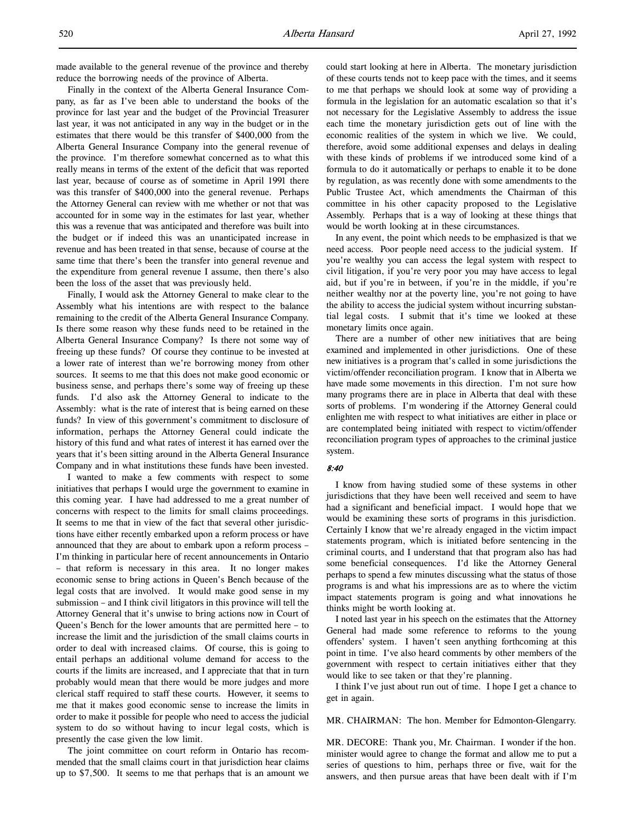made available to the general revenue of the province and thereby reduce the borrowing needs of the province of Alberta.

Finally in the context of the Alberta General Insurance Company, as far as I've been able to understand the books of the province for last year and the budget of the Provincial Treasurer last year, it was not anticipated in any way in the budget or in the estimates that there would be this transfer of \$400,000 from the Alberta General Insurance Company into the general revenue of the province. I'm therefore somewhat concerned as to what this really means in terms of the extent of the deficit that was reported last year, because of course as of sometime in April 1991 there was this transfer of \$400,000 into the general revenue. Perhaps the Attorney General can review with me whether or not that was accounted for in some way in the estimates for last year, whether this was a revenue that was anticipated and therefore was built into the budget or if indeed this was an unanticipated increase in revenue and has been treated in that sense, because of course at the same time that there's been the transfer into general revenue and the expenditure from general revenue I assume, then there's also been the loss of the asset that was previously held.

Finally, I would ask the Attorney General to make clear to the Assembly what his intentions are with respect to the balance remaining to the credit of the Alberta General Insurance Company. Is there some reason why these funds need to be retained in the Alberta General Insurance Company? Is there not some way of freeing up these funds? Of course they continue to be invested at a lower rate of interest than we're borrowing money from other sources. It seems to me that this does not make good economic or business sense, and perhaps there's some way of freeing up these funds. I'd also ask the Attorney General to indicate to the Assembly: what is the rate of interest that is being earned on these funds? In view of this government's commitment to disclosure of information, perhaps the Attorney General could indicate the history of this fund and what rates of interest it has earned over the years that it's been sitting around in the Alberta General Insurance Company and in what institutions these funds have been invested.

I wanted to make a few comments with respect to some initiatives that perhaps I would urge the government to examine in this coming year. I have had addressed to me a great number of concerns with respect to the limits for small claims proceedings. It seems to me that in view of the fact that several other jurisdictions have either recently embarked upon a reform process or have announced that they are about to embark upon a reform process – I'm thinking in particular here of recent announcements in Ontario – that reform is necessary in this area. It no longer makes economic sense to bring actions in Queen's Bench because of the legal costs that are involved. It would make good sense in my submission – and I think civil litigators in this province will tell the Attorney General that it's unwise to bring actions now in Court of Queen's Bench for the lower amounts that are permitted here – to increase the limit and the jurisdiction of the small claims courts in order to deal with increased claims. Of course, this is going to entail perhaps an additional volume demand for access to the courts if the limits are increased, and I appreciate that that in turn probably would mean that there would be more judges and more clerical staff required to staff these courts. However, it seems to me that it makes good economic sense to increase the limits in order to make it possible for people who need to access the judicial system to do so without having to incur legal costs, which is presently the case given the low limit.

The joint committee on court reform in Ontario has recommended that the small claims court in that jurisdiction hear claims up to \$7,500. It seems to me that perhaps that is an amount we

could start looking at here in Alberta. The monetary jurisdiction of these courts tends not to keep pace with the times, and it seems to me that perhaps we should look at some way of providing a formula in the legislation for an automatic escalation so that it's not necessary for the Legislative Assembly to address the issue each time the monetary jurisdiction gets out of line with the economic realities of the system in which we live. We could, therefore, avoid some additional expenses and delays in dealing with these kinds of problems if we introduced some kind of a formula to do it automatically or perhaps to enable it to be done by regulation, as was recently done with some amendments to the Public Trustee Act, which amendments the Chairman of this committee in his other capacity proposed to the Legislative Assembly. Perhaps that is a way of looking at these things that would be worth looking at in these circumstances.

In any event, the point which needs to be emphasized is that we need access. Poor people need access to the judicial system. If you're wealthy you can access the legal system with respect to civil litigation, if you're very poor you may have access to legal aid, but if you're in between, if you're in the middle, if you're neither wealthy nor at the poverty line, you're not going to have the ability to access the judicial system without incurring substantial legal costs. I submit that it's time we looked at these monetary limits once again.

There are a number of other new initiatives that are being examined and implemented in other jurisdictions. One of these new initiatives is a program that's called in some jurisdictions the victim/offender reconciliation program. I know that in Alberta we have made some movements in this direction. I'm not sure how many programs there are in place in Alberta that deal with these sorts of problems. I'm wondering if the Attorney General could enlighten me with respect to what initiatives are either in place or are contemplated being initiated with respect to victim/offender reconciliation program types of approaches to the criminal justice system.

## 8:40

I know from having studied some of these systems in other jurisdictions that they have been well received and seem to have had a significant and beneficial impact. I would hope that we would be examining these sorts of programs in this jurisdiction. Certainly I know that we're already engaged in the victim impact statements program, which is initiated before sentencing in the criminal courts, and I understand that that program also has had some beneficial consequences. I'd like the Attorney General perhaps to spend a few minutes discussing what the status of those programs is and what his impressions are as to where the victim impact statements program is going and what innovations he thinks might be worth looking at.

I noted last year in his speech on the estimates that the Attorney General had made some reference to reforms to the young offenders' system. I haven't seen anything forthcoming at this point in time. I've also heard comments by other members of the government with respect to certain initiatives either that they would like to see taken or that they're planning.

I think I've just about run out of time. I hope I get a chance to get in again.

MR. CHAIRMAN: The hon. Member for Edmonton-Glengarry.

MR. DECORE: Thank you, Mr. Chairman. I wonder if the hon. minister would agree to change the format and allow me to put a series of questions to him, perhaps three or five, wait for the answers, and then pursue areas that have been dealt with if I'm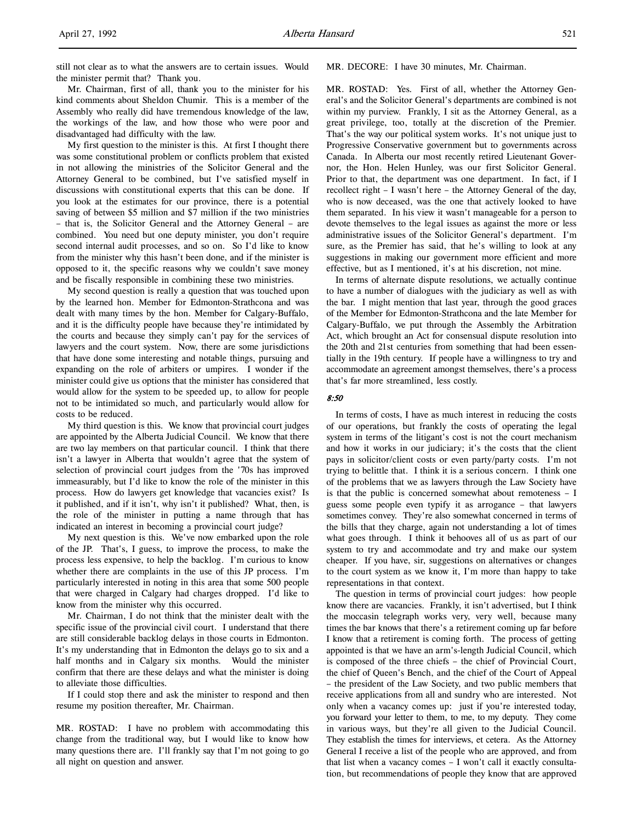still not clear as to what the answers are to certain issues. Would the minister permit that? Thank you.

Mr. Chairman, first of all, thank you to the minister for his kind comments about Sheldon Chumir. This is a member of the Assembly who really did have tremendous knowledge of the law, the workings of the law, and how those who were poor and disadvantaged had difficulty with the law.

My first question to the minister is this. At first I thought there was some constitutional problem or conflicts problem that existed in not allowing the ministries of the Solicitor General and the Attorney General to be combined, but I've satisfied myself in discussions with constitutional experts that this can be done. If you look at the estimates for our province, there is a potential saving of between \$5 million and \$7 million if the two ministries – that is, the Solicitor General and the Attorney General – are combined. You need but one deputy minister, you don't require second internal audit processes, and so on. So I'd like to know from the minister why this hasn't been done, and if the minister is opposed to it, the specific reasons why we couldn't save money and be fiscally responsible in combining these two ministries.

My second question is really a question that was touched upon by the learned hon. Member for Edmonton-Strathcona and was dealt with many times by the hon. Member for Calgary-Buffalo, and it is the difficulty people have because they're intimidated by the courts and because they simply can't pay for the services of lawyers and the court system. Now, there are some jurisdictions that have done some interesting and notable things, pursuing and expanding on the role of arbiters or umpires. I wonder if the minister could give us options that the minister has considered that would allow for the system to be speeded up, to allow for people not to be intimidated so much, and particularly would allow for costs to be reduced.

My third question is this. We know that provincial court judges are appointed by the Alberta Judicial Council. We know that there are two lay members on that particular council. I think that there isn't a lawyer in Alberta that wouldn't agree that the system of selection of provincial court judges from the '70s has improved immeasurably, but I'd like to know the role of the minister in this process. How do lawyers get knowledge that vacancies exist? Is it published, and if it isn't, why isn't it published? What, then, is the role of the minister in putting a name through that has indicated an interest in becoming a provincial court judge?

My next question is this. We've now embarked upon the role of the JP. That's, I guess, to improve the process, to make the process less expensive, to help the backlog. I'm curious to know whether there are complaints in the use of this JP process. I'm particularly interested in noting in this area that some 500 people that were charged in Calgary had charges dropped. I'd like to know from the minister why this occurred.

Mr. Chairman, I do not think that the minister dealt with the specific issue of the provincial civil court. I understand that there are still considerable backlog delays in those courts in Edmonton. It's my understanding that in Edmonton the delays go to six and a half months and in Calgary six months. Would the minister confirm that there are these delays and what the minister is doing to alleviate those difficulties.

If I could stop there and ask the minister to respond and then resume my position thereafter, Mr. Chairman.

MR. ROSTAD: I have no problem with accommodating this change from the traditional way, but I would like to know how many questions there are. I'll frankly say that I'm not going to go all night on question and answer.

## MR. DECORE: I have 30 minutes, Mr. Chairman.

MR. ROSTAD: Yes. First of all, whether the Attorney General's and the Solicitor General's departments are combined is not within my purview. Frankly, I sit as the Attorney General, as a great privilege, too, totally at the discretion of the Premier. That's the way our political system works. It's not unique just to Progressive Conservative government but to governments across Canada. In Alberta our most recently retired Lieutenant Governor, the Hon. Helen Hunley, was our first Solicitor General. Prior to that, the department was one department. In fact, if I recollect right – I wasn't here – the Attorney General of the day, who is now deceased, was the one that actively looked to have them separated. In his view it wasn't manageable for a person to devote themselves to the legal issues as against the more or less administrative issues of the Solicitor General's department. I'm sure, as the Premier has said, that he's willing to look at any suggestions in making our government more efficient and more effective, but as I mentioned, it's at his discretion, not mine.

In terms of alternate dispute resolutions, we actually continue to have a number of dialogues with the judiciary as well as with the bar. I might mention that last year, through the good graces of the Member for Edmonton-Strathcona and the late Member for Calgary-Buffalo, we put through the Assembly the Arbitration Act, which brought an Act for consensual dispute resolution into the 20th and 21st centuries from something that had been essentially in the 19th century. If people have a willingness to try and accommodate an agreement amongst themselves, there's a process that's far more streamlined, less costly.

## 8:50

In terms of costs, I have as much interest in reducing the costs of our operations, but frankly the costs of operating the legal system in terms of the litigant's cost is not the court mechanism and how it works in our judiciary; it's the costs that the client pays in solicitor/client costs or even party/party costs. I'm not trying to belittle that. I think it is a serious concern. I think one of the problems that we as lawyers through the Law Society have is that the public is concerned somewhat about remoteness – I guess some people even typify it as arrogance – that lawyers sometimes convey. They're also somewhat concerned in terms of the bills that they charge, again not understanding a lot of times what goes through. I think it behooves all of us as part of our system to try and accommodate and try and make our system cheaper. If you have, sir, suggestions on alternatives or changes to the court system as we know it, I'm more than happy to take representations in that context.

The question in terms of provincial court judges: how people know there are vacancies. Frankly, it isn't advertised, but I think the moccasin telegraph works very, very well, because many times the bar knows that there's a retirement coming up far before I know that a retirement is coming forth. The process of getting appointed is that we have an arm's-length Judicial Council, which is composed of the three chiefs – the chief of Provincial Court, the chief of Queen's Bench, and the chief of the Court of Appeal – the president of the Law Society, and two public members that receive applications from all and sundry who are interested. Not only when a vacancy comes up: just if you're interested today, you forward your letter to them, to me, to my deputy. They come in various ways, but they're all given to the Judicial Council. They establish the times for interviews, et cetera. As the Attorney General I receive a list of the people who are approved, and from that list when a vacancy comes – I won't call it exactly consultation, but recommendations of people they know that are approved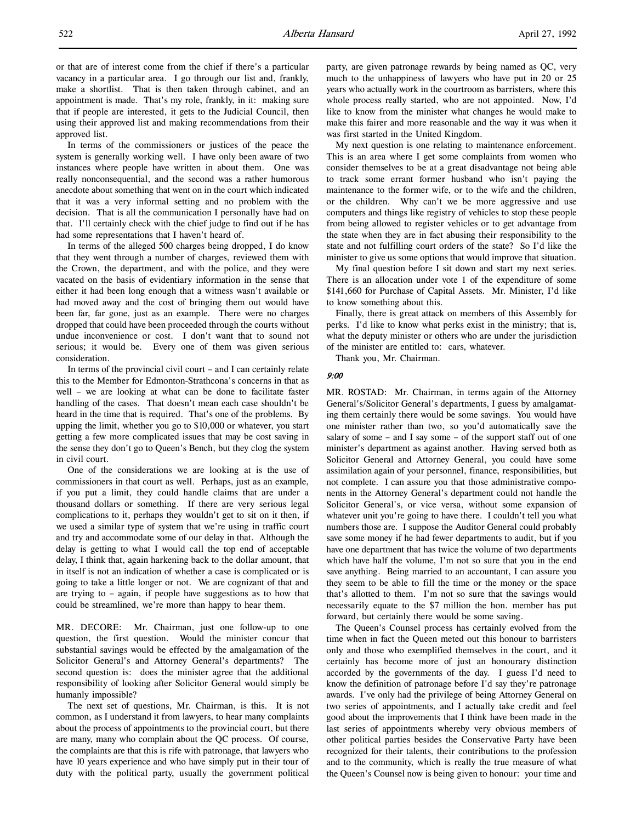or that are of interest come from the chief if there's a particular vacancy in a particular area. I go through our list and, frankly, make a shortlist. That is then taken through cabinet, and an appointment is made. That's my role, frankly, in it: making sure that if people are interested, it gets to the Judicial Council, then using their approved list and making recommendations from their approved list.

In terms of the commissioners or justices of the peace the system is generally working well. I have only been aware of two instances where people have written in about them. One was really nonconsequential, and the second was a rather humorous anecdote about something that went on in the court which indicated that it was a very informal setting and no problem with the decision. That is all the communication I personally have had on that. I'll certainly check with the chief judge to find out if he has had some representations that I haven't heard of.

In terms of the alleged 500 charges being dropped, I do know that they went through a number of charges, reviewed them with the Crown, the department, and with the police, and they were vacated on the basis of evidentiary information in the sense that either it had been long enough that a witness wasn't available or had moved away and the cost of bringing them out would have been far, far gone, just as an example. There were no charges dropped that could have been proceeded through the courts without undue inconvenience or cost. I don't want that to sound not serious; it would be. Every one of them was given serious consideration.

In terms of the provincial civil court – and I can certainly relate this to the Member for Edmonton-Strathcona's concerns in that as well – we are looking at what can be done to facilitate faster handling of the cases. That doesn't mean each case shouldn't be heard in the time that is required. That's one of the problems. By upping the limit, whether you go to \$10,000 or whatever, you start getting a few more complicated issues that may be cost saving in the sense they don't go to Queen's Bench, but they clog the system in civil court.

One of the considerations we are looking at is the use of commissioners in that court as well. Perhaps, just as an example, if you put a limit, they could handle claims that are under a thousand dollars or something. If there are very serious legal complications to it, perhaps they wouldn't get to sit on it then, if we used a similar type of system that we're using in traffic court and try and accommodate some of our delay in that. Although the delay is getting to what I would call the top end of acceptable delay, I think that, again harkening back to the dollar amount, that in itself is not an indication of whether a case is complicated or is going to take a little longer or not. We are cognizant of that and are trying to – again, if people have suggestions as to how that could be streamlined, we're more than happy to hear them.

MR. DECORE: Mr. Chairman, just one follow-up to one question, the first question. Would the minister concur that substantial savings would be effected by the amalgamation of the Solicitor General's and Attorney General's departments? The second question is: does the minister agree that the additional responsibility of looking after Solicitor General would simply be humanly impossible?

The next set of questions, Mr. Chairman, is this. It is not common, as I understand it from lawyers, to hear many complaints about the process of appointments to the provincial court, but there are many, many who complain about the QC process. Of course, the complaints are that this is rife with patronage, that lawyers who have 10 years experience and who have simply put in their tour of duty with the political party, usually the government political party, are given patronage rewards by being named as QC, very much to the unhappiness of lawyers who have put in 20 or 25 years who actually work in the courtroom as barristers, where this whole process really started, who are not appointed. Now, I'd like to know from the minister what changes he would make to make this fairer and more reasonable and the way it was when it was first started in the United Kingdom.

My next question is one relating to maintenance enforcement. This is an area where I get some complaints from women who consider themselves to be at a great disadvantage not being able to track some errant former husband who isn't paying the maintenance to the former wife, or to the wife and the children, or the children. Why can't we be more aggressive and use computers and things like registry of vehicles to stop these people from being allowed to register vehicles or to get advantage from the state when they are in fact abusing their responsibility to the state and not fulfilling court orders of the state? So I'd like the minister to give us some options that would improve that situation.

My final question before I sit down and start my next series. There is an allocation under vote 1 of the expenditure of some \$141,660 for Purchase of Capital Assets. Mr. Minister, I'd like to know something about this.

Finally, there is great attack on members of this Assembly for perks. I'd like to know what perks exist in the ministry; that is, what the deputy minister or others who are under the jurisdiction of the minister are entitled to: cars, whatever.

Thank you, Mr. Chairman.

## 9:00

MR. ROSTAD: Mr. Chairman, in terms again of the Attorney General's/Solicitor General's departments, I guess by amalgamating them certainly there would be some savings. You would have one minister rather than two, so you'd automatically save the salary of some – and I say some – of the support staff out of one minister's department as against another. Having served both as Solicitor General and Attorney General, you could have some assimilation again of your personnel, finance, responsibilities, but not complete. I can assure you that those administrative components in the Attorney General's department could not handle the Solicitor General's, or vice versa, without some expansion of whatever unit you're going to have there. I couldn't tell you what numbers those are. I suppose the Auditor General could probably save some money if he had fewer departments to audit, but if you have one department that has twice the volume of two departments which have half the volume, I'm not so sure that you in the end save anything. Being married to an accountant, I can assure you they seem to be able to fill the time or the money or the space that's allotted to them. I'm not so sure that the savings would necessarily equate to the \$7 million the hon. member has put forward, but certainly there would be some saving.

The Queen's Counsel process has certainly evolved from the time when in fact the Queen meted out this honour to barristers only and those who exemplified themselves in the court, and it certainly has become more of just an honourary distinction accorded by the governments of the day. I guess I'd need to know the definition of patronage before I'd say they're patronage awards. I've only had the privilege of being Attorney General on two series of appointments, and I actually take credit and feel good about the improvements that I think have been made in the last series of appointments whereby very obvious members of other political parties besides the Conservative Party have been recognized for their talents, their contributions to the profession and to the community, which is really the true measure of what the Queen's Counsel now is being given to honour: your time and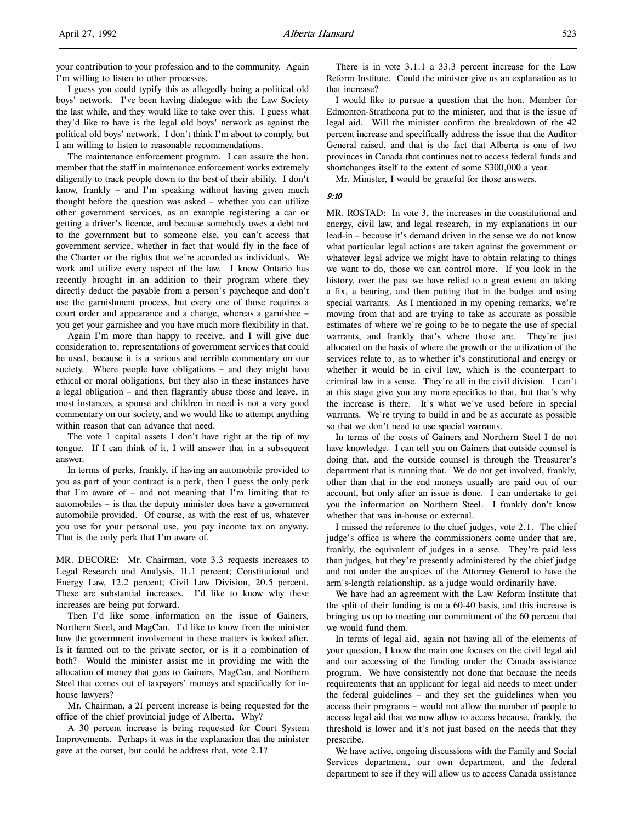your contribution to your profession and to the community. Again I'm willing to listen to other processes.

I guess you could typify this as allegedly being a political old boys' network. I've been having dialogue with the Law Society the last while, and they would like to take over this. I guess what they'd like to have is the legal old boys' network as against the political old boys' network. I don't think I'm about to comply, but I am willing to listen to reasonable recommendations.

The maintenance enforcement program. I can assure the hon. member that the staff in maintenance enforcement works extremely diligently to track people down to the best of their ability. I don't know, frankly – and I'm speaking without having given much thought before the question was asked – whether you can utilize other government services, as an example registering a car or getting a driver's licence, and because somebody owes a debt not to the government but to someone else, you can't access that government service, whether in fact that would fly in the face of the Charter or the rights that we're accorded as individuals. We work and utilize every aspect of the law. I know Ontario has recently brought in an addition to their program where they directly deduct the payable from a person's paycheque and don't use the garnishment process, but every one of those requires a court order and appearance and a change, whereas a garnishee – you get your garnishee and you have much more flexibility in that.

Again I'm more than happy to receive, and I will give due consideration to, representations of government services that could be used, because it is a serious and terrible commentary on our society. Where people have obligations – and they might have ethical or moral obligations, but they also in these instances have a legal obligation – and then flagrantly abuse those and leave, in most instances, a spouse and children in need is not a very good commentary on our society, and we would like to attempt anything within reason that can advance that need.

The vote 1 capital assets I don't have right at the tip of my tongue. If I can think of it, I will answer that in a subsequent answer.

In terms of perks, frankly, if having an automobile provided to you as part of your contract is a perk, then I guess the only perk that I'm aware of – and not meaning that I'm limiting that to automobiles – is that the deputy minister does have a government automobile provided. Of course, as with the rest of us, whatever you use for your personal use, you pay income tax on anyway. That is the only perk that I'm aware of.

MR. DECORE: Mr. Chairman, vote 3.3 requests increases to Legal Research and Analysis, 11.1 percent; Constitutional and Energy Law, 12.2 percent; Civil Law Division, 20.5 percent. These are substantial increases. I'd like to know why these increases are being put forward.

Then I'd like some information on the issue of Gainers, Northern Steel, and MagCan. I'd like to know from the minister how the government involvement in these matters is looked after. Is it farmed out to the private sector, or is it a combination of both? Would the minister assist me in providing me with the allocation of money that goes to Gainers, MagCan, and Northern Steel that comes out of taxpayers' moneys and specifically for inhouse lawyers?

Mr. Chairman, a 21 percent increase is being requested for the office of the chief provincial judge of Alberta. Why?

A 30 percent increase is being requested for Court System Improvements. Perhaps it was in the explanation that the minister gave at the outset, but could he address that, vote 2.1?

There is in vote 3.1.1 a 33.3 percent increase for the Law Reform Institute. Could the minister give us an explanation as to that increase?

I would like to pursue a question that the hon. Member for Edmonton-Strathcona put to the minister, and that is the issue of legal aid. Will the minister confirm the breakdown of the 42 percent increase and specifically address the issue that the Auditor General raised, and that is the fact that Alberta is one of two provinces in Canada that continues not to access federal funds and shortchanges itself to the extent of some \$300,000 a year.

Mr. Minister, I would be grateful for those answers.

#### 9:10

MR. ROSTAD: In vote 3, the increases in the constitutional and energy, civil law, and legal research, in my explanations in our lead-in – because it's demand driven in the sense we do not know what particular legal actions are taken against the government or whatever legal advice we might have to obtain relating to things we want to do, those we can control more. If you look in the history, over the past we have relied to a great extent on taking a fix, a bearing, and then putting that in the budget and using special warrants. As I mentioned in my opening remarks, we're moving from that and are trying to take as accurate as possible estimates of where we're going to be to negate the use of special warrants, and frankly that's where those are. They're just allocated on the basis of where the growth or the utilization of the services relate to, as to whether it's constitutional and energy or whether it would be in civil law, which is the counterpart to criminal law in a sense. They're all in the civil division. I can't at this stage give you any more specifics to that, but that's why the increase is there. It's what we've used before in special warrants. We're trying to build in and be as accurate as possible so that we don't need to use special warrants.

In terms of the costs of Gainers and Northern Steel I do not have knowledge. I can tell you on Gainers that outside counsel is doing that, and the outside counsel is through the Treasurer's department that is running that. We do not get involved, frankly, other than that in the end moneys usually are paid out of our account, but only after an issue is done. I can undertake to get you the information on Northern Steel. I frankly don't know whether that was in-house or external.

I missed the reference to the chief judges, vote 2.1. The chief judge's office is where the commissioners come under that are, frankly, the equivalent of judges in a sense. They're paid less than judges, but they're presently administered by the chief judge and not under the auspices of the Attorney General to have the arm's-length relationship, as a judge would ordinarily have.

We have had an agreement with the Law Reform Institute that the split of their funding is on a 60-40 basis, and this increase is bringing us up to meeting our commitment of the 60 percent that we would fund them.

In terms of legal aid, again not having all of the elements of your question, I know the main one focuses on the civil legal aid and our accessing of the funding under the Canada assistance program. We have consistently not done that because the needs requirements that an applicant for legal aid needs to meet under the federal guidelines – and they set the guidelines when you access their programs – would not allow the number of people to access legal aid that we now allow to access because, frankly, the threshold is lower and it's not just based on the needs that they prescribe.

We have active, ongoing discussions with the Family and Social Services department, our own department, and the federal department to see if they will allow us to access Canada assistance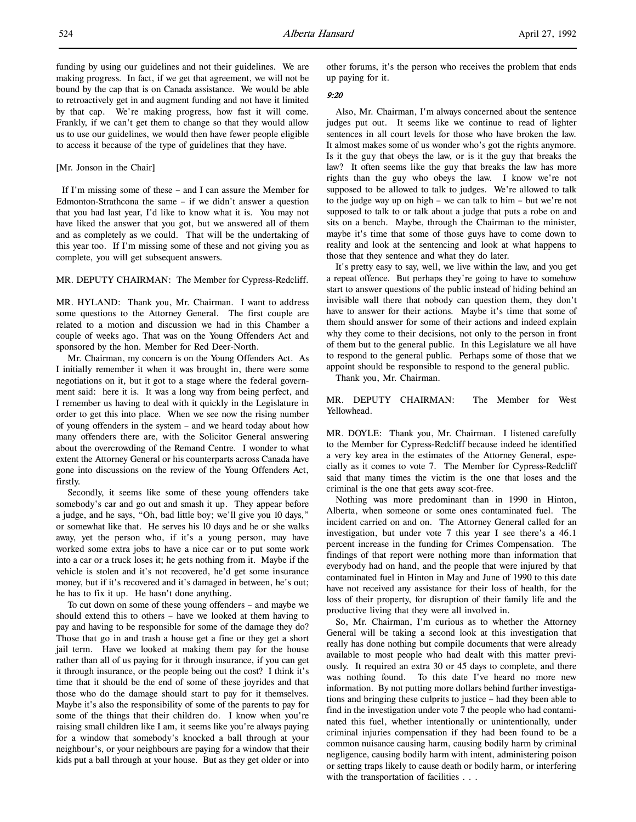### [Mr. Jonson in the Chair]

 If I'm missing some of these – and I can assure the Member for Edmonton-Strathcona the same – if we didn't answer a question that you had last year, I'd like to know what it is. You may not have liked the answer that you got, but we answered all of them and as completely as we could. That will be the undertaking of this year too. If I'm missing some of these and not giving you as complete, you will get subsequent answers.

## MR. DEPUTY CHAIRMAN: The Member for Cypress-Redcliff.

MR. HYLAND: Thank you, Mr. Chairman. I want to address some questions to the Attorney General. The first couple are related to a motion and discussion we had in this Chamber a couple of weeks ago. That was on the Young Offenders Act and sponsored by the hon. Member for Red Deer-North.

Mr. Chairman, my concern is on the Young Offenders Act. As I initially remember it when it was brought in, there were some negotiations on it, but it got to a stage where the federal government said: here it is. It was a long way from being perfect, and I remember us having to deal with it quickly in the Legislature in order to get this into place. When we see now the rising number of young offenders in the system – and we heard today about how many offenders there are, with the Solicitor General answering about the overcrowding of the Remand Centre. I wonder to what extent the Attorney General or his counterparts across Canada have gone into discussions on the review of the Young Offenders Act, firstly.

Secondly, it seems like some of these young offenders take somebody's car and go out and smash it up. They appear before a judge, and he says, "Oh, bad little boy; we'll give you 10 days," or somewhat like that. He serves his 10 days and he or she walks away, yet the person who, if it's a young person, may have worked some extra jobs to have a nice car or to put some work into a car or a truck loses it; he gets nothing from it. Maybe if the vehicle is stolen and it's not recovered, he'd get some insurance money, but if it's recovered and it's damaged in between, he's out; he has to fix it up. He hasn't done anything.

To cut down on some of these young offenders – and maybe we should extend this to others – have we looked at them having to pay and having to be responsible for some of the damage they do? Those that go in and trash a house get a fine or they get a short jail term. Have we looked at making them pay for the house rather than all of us paying for it through insurance, if you can get it through insurance, or the people being out the cost? I think it's time that it should be the end of some of these joyrides and that those who do the damage should start to pay for it themselves. Maybe it's also the responsibility of some of the parents to pay for some of the things that their children do. I know when you're raising small children like I am, it seems like you're always paying for a window that somebody's knocked a ball through at your neighbour's, or your neighbours are paying for a window that their kids put a ball through at your house. But as they get older or into

other forums, it's the person who receives the problem that ends up paying for it.

## 9:20

Also, Mr. Chairman, I'm always concerned about the sentence judges put out. It seems like we continue to read of lighter sentences in all court levels for those who have broken the law. It almost makes some of us wonder who's got the rights anymore. Is it the guy that obeys the law, or is it the guy that breaks the law? It often seems like the guy that breaks the law has more rights than the guy who obeys the law. I know we're not supposed to be allowed to talk to judges. We're allowed to talk to the judge way up on high – we can talk to him – but we're not supposed to talk to or talk about a judge that puts a robe on and sits on a bench. Maybe, through the Chairman to the minister, maybe it's time that some of those guys have to come down to reality and look at the sentencing and look at what happens to those that they sentence and what they do later.

It's pretty easy to say, well, we live within the law, and you get a repeat offence. But perhaps they're going to have to somehow start to answer questions of the public instead of hiding behind an invisible wall there that nobody can question them, they don't have to answer for their actions. Maybe it's time that some of them should answer for some of their actions and indeed explain why they come to their decisions, not only to the person in front of them but to the general public. In this Legislature we all have to respond to the general public. Perhaps some of those that we appoint should be responsible to respond to the general public.

Thank you, Mr. Chairman.

MR. DEPUTY CHAIRMAN: The Member for West Yellowhead.

MR. DOYLE: Thank you, Mr. Chairman. I listened carefully to the Member for Cypress-Redcliff because indeed he identified a very key area in the estimates of the Attorney General, especially as it comes to vote 7. The Member for Cypress-Redcliff said that many times the victim is the one that loses and the criminal is the one that gets away scot-free.

Nothing was more predominant than in 1990 in Hinton, Alberta, when someone or some ones contaminated fuel. The incident carried on and on. The Attorney General called for an investigation, but under vote 7 this year I see there's a 46.1 percent increase in the funding for Crimes Compensation. The findings of that report were nothing more than information that everybody had on hand, and the people that were injured by that contaminated fuel in Hinton in May and June of 1990 to this date have not received any assistance for their loss of health, for the loss of their property, for disruption of their family life and the productive living that they were all involved in.

So, Mr. Chairman, I'm curious as to whether the Attorney General will be taking a second look at this investigation that really has done nothing but compile documents that were already available to most people who had dealt with this matter previously. It required an extra 30 or 45 days to complete, and there was nothing found. To this date I've heard no more new information. By not putting more dollars behind further investigations and bringing these culprits to justice – had they been able to find in the investigation under vote 7 the people who had contaminated this fuel, whether intentionally or unintentionally, under criminal injuries compensation if they had been found to be a common nuisance causing harm, causing bodily harm by criminal negligence, causing bodily harm with intent, administering poison or setting traps likely to cause death or bodily harm, or interfering with the transportation of facilities . . .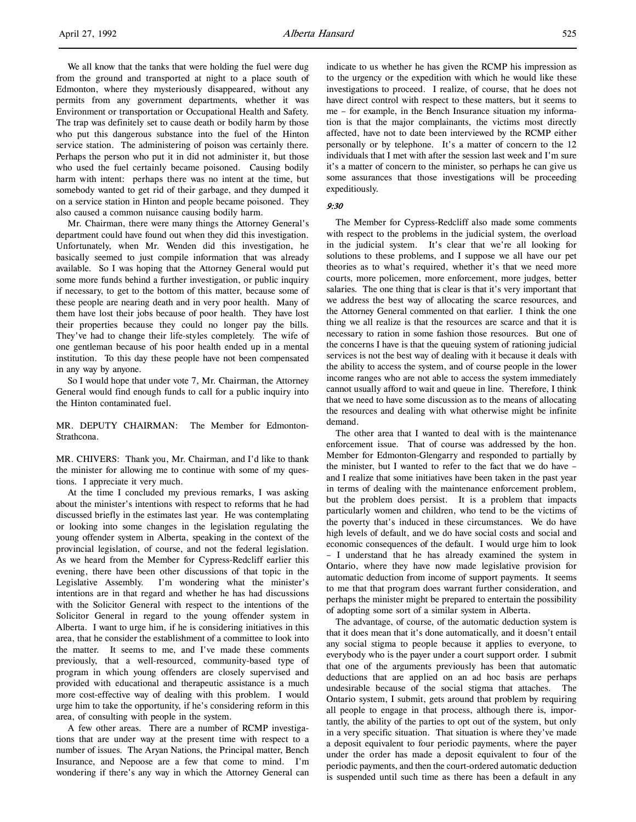We all know that the tanks that were holding the fuel were dug from the ground and transported at night to a place south of Edmonton, where they mysteriously disappeared, without any permits from any government departments, whether it was Environment or transportation or Occupational Health and Safety. The trap was definitely set to cause death or bodily harm by those who put this dangerous substance into the fuel of the Hinton service station. The administering of poison was certainly there. Perhaps the person who put it in did not administer it, but those who used the fuel certainly became poisoned. Causing bodily harm with intent: perhaps there was no intent at the time, but somebody wanted to get rid of their garbage, and they dumped it on a service station in Hinton and people became poisoned. They also caused a common nuisance causing bodily harm.

Mr. Chairman, there were many things the Attorney General's department could have found out when they did this investigation. Unfortunately, when Mr. Wenden did this investigation, he basically seemed to just compile information that was already available. So I was hoping that the Attorney General would put some more funds behind a further investigation, or public inquiry if necessary, to get to the bottom of this matter, because some of these people are nearing death and in very poor health. Many of them have lost their jobs because of poor health. They have lost their properties because they could no longer pay the bills. They've had to change their life-styles completely. The wife of one gentleman because of his poor health ended up in a mental institution. To this day these people have not been compensated in any way by anyone.

So I would hope that under vote 7, Mr. Chairman, the Attorney General would find enough funds to call for a public inquiry into the Hinton contaminated fuel.

MR. DEPUTY CHAIRMAN: The Member for Edmonton-Strathcona.

MR. CHIVERS: Thank you, Mr. Chairman, and I'd like to thank the minister for allowing me to continue with some of my questions. I appreciate it very much.

At the time I concluded my previous remarks, I was asking about the minister's intentions with respect to reforms that he had discussed briefly in the estimates last year. He was contemplating or looking into some changes in the legislation regulating the young offender system in Alberta, speaking in the context of the provincial legislation, of course, and not the federal legislation. As we heard from the Member for Cypress-Redcliff earlier this evening, there have been other discussions of that topic in the Legislative Assembly. I'm wondering what the minister's intentions are in that regard and whether he has had discussions with the Solicitor General with respect to the intentions of the Solicitor General in regard to the young offender system in Alberta. I want to urge him, if he is considering initiatives in this area, that he consider the establishment of a committee to look into the matter. It seems to me, and I've made these comments previously, that a well-resourced, community-based type of program in which young offenders are closely supervised and provided with educational and therapeutic assistance is a much more cost-effective way of dealing with this problem. I would urge him to take the opportunity, if he's considering reform in this area, of consulting with people in the system.

A few other areas. There are a number of RCMP investigations that are under way at the present time with respect to a number of issues. The Aryan Nations, the Principal matter, Bench Insurance, and Nepoose are a few that come to mind. I'm wondering if there's any way in which the Attorney General can

indicate to us whether he has given the RCMP his impression as to the urgency or the expedition with which he would like these investigations to proceed. I realize, of course, that he does not have direct control with respect to these matters, but it seems to me – for example, in the Bench Insurance situation my information is that the major complainants, the victims most directly affected, have not to date been interviewed by the RCMP either personally or by telephone. It's a matter of concern to the 12 individuals that I met with after the session last week and I'm sure it's a matter of concern to the minister, so perhaps he can give us some assurances that those investigations will be proceeding expeditiously.

9:30

The Member for Cypress-Redcliff also made some comments with respect to the problems in the judicial system, the overload in the judicial system. It's clear that we're all looking for solutions to these problems, and I suppose we all have our pet theories as to what's required, whether it's that we need more courts, more policemen, more enforcement, more judges, better salaries. The one thing that is clear is that it's very important that we address the best way of allocating the scarce resources, and the Attorney General commented on that earlier. I think the one thing we all realize is that the resources are scarce and that it is necessary to ration in some fashion those resources. But one of the concerns I have is that the queuing system of rationing judicial services is not the best way of dealing with it because it deals with the ability to access the system, and of course people in the lower income ranges who are not able to access the system immediately cannot usually afford to wait and queue in line. Therefore, I think that we need to have some discussion as to the means of allocating the resources and dealing with what otherwise might be infinite demand.

The other area that I wanted to deal with is the maintenance enforcement issue. That of course was addressed by the hon. Member for Edmonton-Glengarry and responded to partially by the minister, but I wanted to refer to the fact that we do have – and I realize that some initiatives have been taken in the past year in terms of dealing with the maintenance enforcement problem, but the problem does persist. It is a problem that impacts particularly women and children, who tend to be the victims of the poverty that's induced in these circumstances. We do have high levels of default, and we do have social costs and social and economic consequences of the default. I would urge him to look – I understand that he has already examined the system in Ontario, where they have now made legislative provision for automatic deduction from income of support payments. It seems to me that that program does warrant further consideration, and perhaps the minister might be prepared to entertain the possibility of adopting some sort of a similar system in Alberta.

The advantage, of course, of the automatic deduction system is that it does mean that it's done automatically, and it doesn't entail any social stigma to people because it applies to everyone, to everybody who is the payer under a court support order. I submit that one of the arguments previously has been that automatic deductions that are applied on an ad hoc basis are perhaps undesirable because of the social stigma that attaches. The Ontario system, I submit, gets around that problem by requiring all people to engage in that process, although there is, importantly, the ability of the parties to opt out of the system, but only in a very specific situation. That situation is where they've made a deposit equivalent to four periodic payments, where the payer under the order has made a deposit equivalent to four of the periodic payments, and then the court-ordered automatic deduction is suspended until such time as there has been a default in any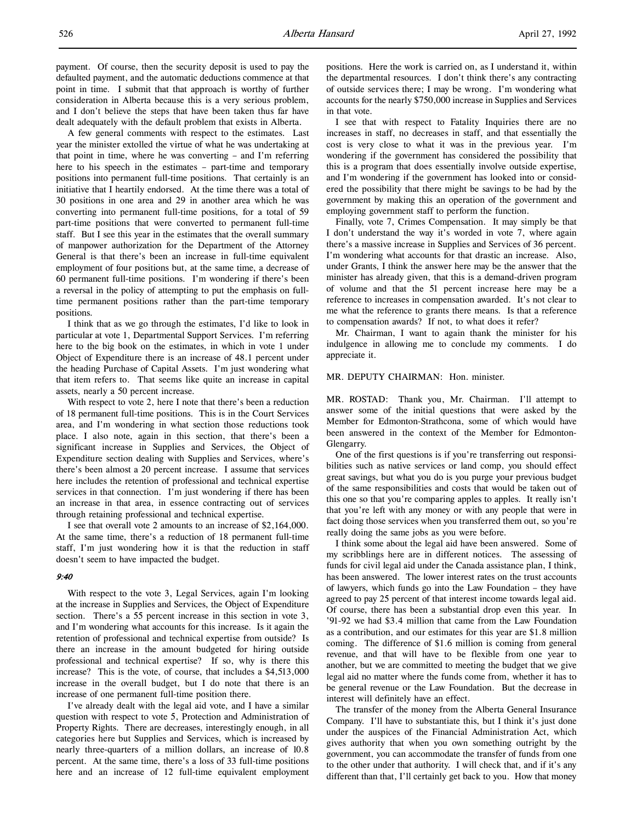payment. Of course, then the security deposit is used to pay the defaulted payment, and the automatic deductions commence at that point in time. I submit that that approach is worthy of further consideration in Alberta because this is a very serious problem, and I don't believe the steps that have been taken thus far have dealt adequately with the default problem that exists in Alberta.

A few general comments with respect to the estimates. Last year the minister extolled the virtue of what he was undertaking at that point in time, where he was converting – and I'm referring here to his speech in the estimates – part-time and temporary positions into permanent full-time positions. That certainly is an initiative that I heartily endorsed. At the time there was a total of 30 positions in one area and 29 in another area which he was converting into permanent full-time positions, for a total of 59 part-time positions that were converted to permanent full-time staff. But I see this year in the estimates that the overall summary of manpower authorization for the Department of the Attorney General is that there's been an increase in full-time equivalent employment of four positions but, at the same time, a decrease of 60 permanent full-time positions. I'm wondering if there's been a reversal in the policy of attempting to put the emphasis on fulltime permanent positions rather than the part-time temporary positions.

I think that as we go through the estimates, I'd like to look in particular at vote 1, Departmental Support Services. I'm referring here to the big book on the estimates, in which in vote 1 under Object of Expenditure there is an increase of 48.1 percent under the heading Purchase of Capital Assets. I'm just wondering what that item refers to. That seems like quite an increase in capital assets, nearly a 50 percent increase.

With respect to vote 2, here I note that there's been a reduction of 18 permanent full-time positions. This is in the Court Services area, and I'm wondering in what section those reductions took place. I also note, again in this section, that there's been a significant increase in Supplies and Services, the Object of Expenditure section dealing with Supplies and Services, where's there's been almost a 20 percent increase. I assume that services here includes the retention of professional and technical expertise services in that connection. I'm just wondering if there has been an increase in that area, in essence contracting out of services through retaining professional and technical expertise.

I see that overall vote 2 amounts to an increase of \$2,164,000. At the same time, there's a reduction of 18 permanent full-time staff, I'm just wondering how it is that the reduction in staff doesn't seem to have impacted the budget.

## 9:40

With respect to the vote 3, Legal Services, again I'm looking at the increase in Supplies and Services, the Object of Expenditure section. There's a 55 percent increase in this section in vote 3, and I'm wondering what accounts for this increase. Is it again the retention of professional and technical expertise from outside? Is there an increase in the amount budgeted for hiring outside professional and technical expertise? If so, why is there this increase? This is the vote, of course, that includes a \$4,513,000 increase in the overall budget, but I do note that there is an increase of one permanent full-time position there.

I've already dealt with the legal aid vote, and I have a similar question with respect to vote 5, Protection and Administration of Property Rights. There are decreases, interestingly enough, in all categories here but Supplies and Services, which is increased by nearly three-quarters of a million dollars, an increase of 10.8 percent. At the same time, there's a loss of 33 full-time positions here and an increase of 12 full-time equivalent employment

positions. Here the work is carried on, as I understand it, within the departmental resources. I don't think there's any contracting of outside services there; I may be wrong. I'm wondering what accounts for the nearly \$750,000 increase in Supplies and Services in that vote.

I see that with respect to Fatality Inquiries there are no increases in staff, no decreases in staff, and that essentially the cost is very close to what it was in the previous year. I'm wondering if the government has considered the possibility that this is a program that does essentially involve outside expertise, and I'm wondering if the government has looked into or considered the possibility that there might be savings to be had by the government by making this an operation of the government and employing government staff to perform the function.

Finally, vote 7, Crimes Compensation. It may simply be that I don't understand the way it's worded in vote 7, where again there's a massive increase in Supplies and Services of 36 percent. I'm wondering what accounts for that drastic an increase. Also, under Grants, I think the answer here may be the answer that the minister has already given, that this is a demand-driven program of volume and that the 51 percent increase here may be a reference to increases in compensation awarded. It's not clear to me what the reference to grants there means. Is that a reference to compensation awards? If not, to what does it refer?

Mr. Chairman, I want to again thank the minister for his indulgence in allowing me to conclude my comments. I do appreciate it.

#### MR. DEPUTY CHAIRMAN: Hon. minister.

MR. ROSTAD: Thank you, Mr. Chairman. I'll attempt to answer some of the initial questions that were asked by the Member for Edmonton-Strathcona, some of which would have been answered in the context of the Member for Edmonton-Glengarry.

One of the first questions is if you're transferring out responsibilities such as native services or land comp, you should effect great savings, but what you do is you purge your previous budget of the same responsibilities and costs that would be taken out of this one so that you're comparing apples to apples. It really isn't that you're left with any money or with any people that were in fact doing those services when you transferred them out, so you're really doing the same jobs as you were before.

I think some about the legal aid have been answered. Some of my scribblings here are in different notices. The assessing of funds for civil legal aid under the Canada assistance plan, I think, has been answered. The lower interest rates on the trust accounts of lawyers, which funds go into the Law Foundation – they have agreed to pay 25 percent of that interest income towards legal aid. Of course, there has been a substantial drop even this year. In '91-92 we had \$3.4 million that came from the Law Foundation as a contribution, and our estimates for this year are \$1.8 million coming. The difference of \$1.6 million is coming from general revenue, and that will have to be flexible from one year to another, but we are committed to meeting the budget that we give legal aid no matter where the funds come from, whether it has to be general revenue or the Law Foundation. But the decrease in interest will definitely have an effect.

The transfer of the money from the Alberta General Insurance Company. I'll have to substantiate this, but I think it's just done under the auspices of the Financial Administration Act, which gives authority that when you own something outright by the government, you can accommodate the transfer of funds from one to the other under that authority. I will check that, and if it's any different than that, I'll certainly get back to you. How that money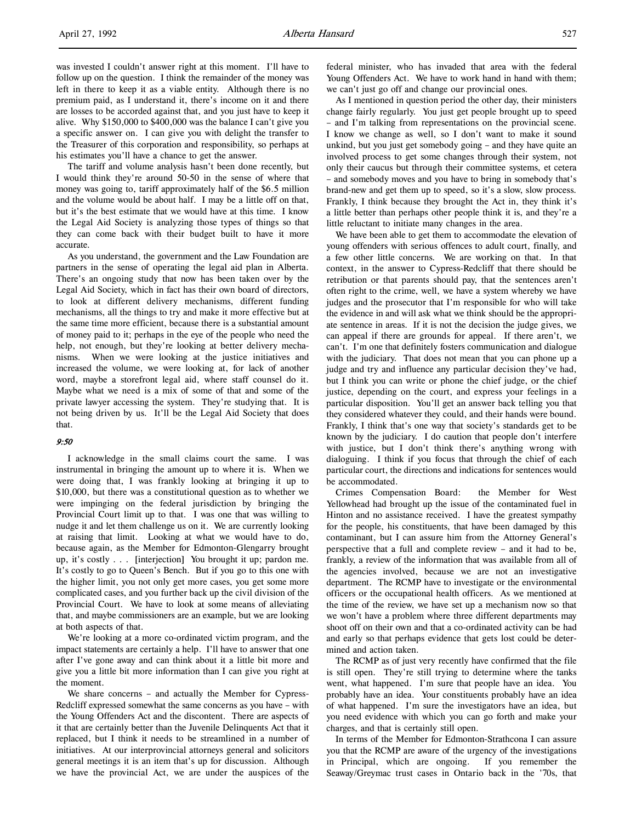was invested I couldn't answer right at this moment. I'll have to follow up on the question. I think the remainder of the money was left in there to keep it as a viable entity. Although there is no premium paid, as I understand it, there's income on it and there are losses to be accorded against that, and you just have to keep it alive. Why \$150,000 to \$400,000 was the balance I can't give you a specific answer on. I can give you with delight the transfer to the Treasurer of this corporation and responsibility, so perhaps at his estimates you'll have a chance to get the answer.

The tariff and volume analysis hasn't been done recently, but I would think they're around 50-50 in the sense of where that money was going to, tariff approximately half of the \$6.5 million and the volume would be about half. I may be a little off on that, but it's the best estimate that we would have at this time. I know the Legal Aid Society is analyzing those types of things so that they can come back with their budget built to have it more accurate.

As you understand, the government and the Law Foundation are partners in the sense of operating the legal aid plan in Alberta. There's an ongoing study that now has been taken over by the Legal Aid Society, which in fact has their own board of directors, to look at different delivery mechanisms, different funding mechanisms, all the things to try and make it more effective but at the same time more efficient, because there is a substantial amount of money paid to it; perhaps in the eye of the people who need the help, not enough, but they're looking at better delivery mechanisms. When we were looking at the justice initiatives and increased the volume, we were looking at, for lack of another word, maybe a storefront legal aid, where staff counsel do it. Maybe what we need is a mix of some of that and some of the private lawyer accessing the system. They're studying that. It is not being driven by us. It'll be the Legal Aid Society that does that.

## 9:50

I acknowledge in the small claims court the same. I was instrumental in bringing the amount up to where it is. When we were doing that, I was frankly looking at bringing it up to \$10,000, but there was a constitutional question as to whether we were impinging on the federal jurisdiction by bringing the Provincial Court limit up to that. I was one that was willing to nudge it and let them challenge us on it. We are currently looking at raising that limit. Looking at what we would have to do, because again, as the Member for Edmonton-Glengarry brought up, it's costly . . . [interjection] You brought it up; pardon me. It's costly to go to Queen's Bench. But if you go to this one with the higher limit, you not only get more cases, you get some more complicated cases, and you further back up the civil division of the Provincial Court. We have to look at some means of alleviating that, and maybe commissioners are an example, but we are looking at both aspects of that.

We're looking at a more co-ordinated victim program, and the impact statements are certainly a help. I'll have to answer that one after I've gone away and can think about it a little bit more and give you a little bit more information than I can give you right at the moment.

We share concerns – and actually the Member for Cypress-Redcliff expressed somewhat the same concerns as you have – with the Young Offenders Act and the discontent. There are aspects of it that are certainly better than the Juvenile Delinquents Act that it replaced, but I think it needs to be streamlined in a number of initiatives. At our interprovincial attorneys general and solicitors general meetings it is an item that's up for discussion. Although we have the provincial Act, we are under the auspices of the

federal minister, who has invaded that area with the federal Young Offenders Act. We have to work hand in hand with them; we can't just go off and change our provincial ones.

As I mentioned in question period the other day, their ministers change fairly regularly. You just get people brought up to speed – and I'm talking from representations on the provincial scene. I know we change as well, so I don't want to make it sound unkind, but you just get somebody going – and they have quite an involved process to get some changes through their system, not only their caucus but through their committee systems, et cetera – and somebody moves and you have to bring in somebody that's brand-new and get them up to speed, so it's a slow, slow process. Frankly, I think because they brought the Act in, they think it's a little better than perhaps other people think it is, and they're a little reluctant to initiate many changes in the area.

We have been able to get them to accommodate the elevation of young offenders with serious offences to adult court, finally, and a few other little concerns. We are working on that. In that context, in the answer to Cypress-Redcliff that there should be retribution or that parents should pay, that the sentences aren't often right to the crime, well, we have a system whereby we have judges and the prosecutor that I'm responsible for who will take the evidence in and will ask what we think should be the appropriate sentence in areas. If it is not the decision the judge gives, we can appeal if there are grounds for appeal. If there aren't, we can't. I'm one that definitely fosters communication and dialogue with the judiciary. That does not mean that you can phone up a judge and try and influence any particular decision they've had, but I think you can write or phone the chief judge, or the chief justice, depending on the court, and express your feelings in a particular disposition. You'll get an answer back telling you that they considered whatever they could, and their hands were bound. Frankly, I think that's one way that society's standards get to be known by the judiciary. I do caution that people don't interfere with justice, but I don't think there's anything wrong with dialoguing. I think if you focus that through the chief of each particular court, the directions and indications for sentences would be accommodated.

Crimes Compensation Board: the Member for West Yellowhead had brought up the issue of the contaminated fuel in Hinton and no assistance received. I have the greatest sympathy for the people, his constituents, that have been damaged by this contaminant, but I can assure him from the Attorney General's perspective that a full and complete review – and it had to be, frankly, a review of the information that was available from all of the agencies involved, because we are not an investigative department. The RCMP have to investigate or the environmental officers or the occupational health officers. As we mentioned at the time of the review, we have set up a mechanism now so that we won't have a problem where three different departments may shoot off on their own and that a co-ordinated activity can be had and early so that perhaps evidence that gets lost could be determined and action taken.

The RCMP as of just very recently have confirmed that the file is still open. They're still trying to determine where the tanks went, what happened. I'm sure that people have an idea. You probably have an idea. Your constituents probably have an idea of what happened. I'm sure the investigators have an idea, but you need evidence with which you can go forth and make your charges, and that is certainly still open.

In terms of the Member for Edmonton-Strathcona I can assure you that the RCMP are aware of the urgency of the investigations in Principal, which are ongoing. If you remember the Seaway/Greymac trust cases in Ontario back in the '70s, that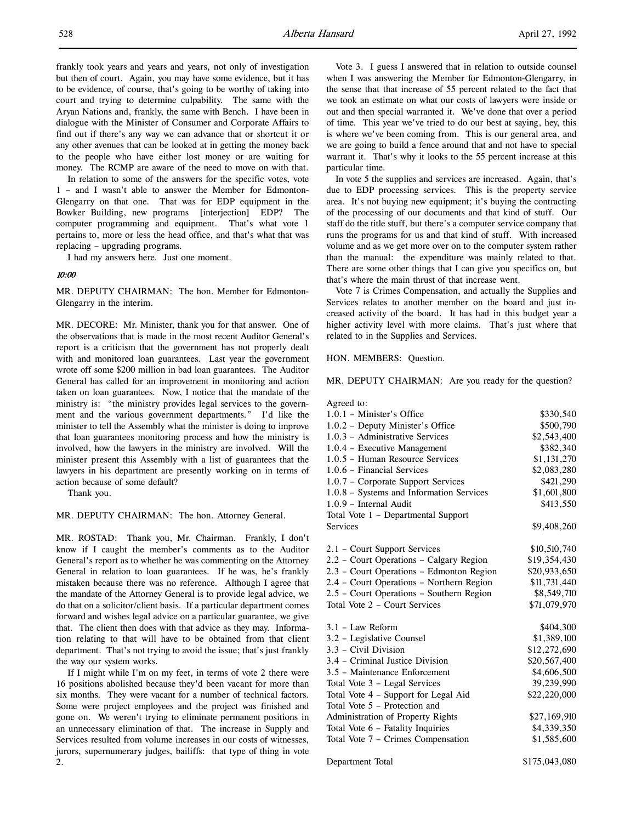frankly took years and years and years, not only of investigation but then of court. Again, you may have some evidence, but it has to be evidence, of course, that's going to be worthy of taking into court and trying to determine culpability. The same with the Aryan Nations and, frankly, the same with Bench. I have been in dialogue with the Minister of Consumer and Corporate Affairs to find out if there's any way we can advance that or shortcut it or any other avenues that can be looked at in getting the money back to the people who have either lost money or are waiting for money. The RCMP are aware of the need to move on with that.

In relation to some of the answers for the specific votes, vote 1 – and I wasn't able to answer the Member for Edmonton-Glengarry on that one. That was for EDP equipment in the Bowker Building, new programs [interjection] EDP? The computer programming and equipment. That's what vote 1 pertains to, more or less the head office, and that's what that was replacing – upgrading programs.

I had my answers here. Just one moment.

## 10:00

MR. DEPUTY CHAIRMAN: The hon. Member for Edmonton-Glengarry in the interim.

MR. DECORE: Mr. Minister, thank you for that answer. One of the observations that is made in the most recent Auditor General's report is a criticism that the government has not properly dealt with and monitored loan guarantees. Last year the government wrote off some \$200 million in bad loan guarantees. The Auditor General has called for an improvement in monitoring and action taken on loan guarantees. Now, I notice that the mandate of the ministry is: "the ministry provides legal services to the government and the various government departments." I'd like the minister to tell the Assembly what the minister is doing to improve that loan guarantees monitoring process and how the ministry is involved, how the lawyers in the ministry are involved. Will the minister present this Assembly with a list of guarantees that the lawyers in his department are presently working on in terms of action because of some default?

Thank you.

MR. DEPUTY CHAIRMAN: The hon. Attorney General.

MR. ROSTAD: Thank you, Mr. Chairman. Frankly, I don't know if I caught the member's comments as to the Auditor General's report as to whether he was commenting on the Attorney General in relation to loan guarantees. If he was, he's frankly mistaken because there was no reference. Although I agree that the mandate of the Attorney General is to provide legal advice, we do that on a solicitor/client basis. If a particular department comes forward and wishes legal advice on a particular guarantee, we give that. The client then does with that advice as they may. Information relating to that will have to be obtained from that client department. That's not trying to avoid the issue; that's just frankly the way our system works.

If I might while I'm on my feet, in terms of vote 2 there were 16 positions abolished because they'd been vacant for more than six months. They were vacant for a number of technical factors. Some were project employees and the project was finished and gone on. We weren't trying to eliminate permanent positions in an unnecessary elimination of that. The increase in Supply and Services resulted from volume increases in our costs of witnesses, jurors, supernumerary judges, bailiffs: that type of thing in vote 2.

Vote 3. I guess I answered that in relation to outside counsel when I was answering the Member for Edmonton-Glengarry, in the sense that that increase of 55 percent related to the fact that we took an estimate on what our costs of lawyers were inside or out and then special warranted it. We've done that over a period of time. This year we've tried to do our best at saying, hey, this is where we've been coming from. This is our general area, and we are going to build a fence around that and not have to special warrant it. That's why it looks to the 55 percent increase at this particular time.

In vote 5 the supplies and services are increased. Again, that's due to EDP processing services. This is the property service area. It's not buying new equipment; it's buying the contracting of the processing of our documents and that kind of stuff. Our staff do the title stuff, but there's a computer service company that runs the programs for us and that kind of stuff. With increased volume and as we get more over on to the computer system rather than the manual: the expenditure was mainly related to that. There are some other things that I can give you specifics on, but that's where the main thrust of that increase went.

Vote 7 is Crimes Compensation, and actually the Supplies and Services relates to another member on the board and just increased activity of the board. It has had in this budget year a higher activity level with more claims. That's just where that related to in the Supplies and Services.

#### HON. MEMBERS: Question.

MR. DEPUTY CHAIRMAN: Are you ready for the question?

| Agreed to:                               |              |
|------------------------------------------|--------------|
| 1.0.1 - Minister's Office                | \$330,540    |
| 1.0.2 - Deputy Minister's Office         | \$500,790    |
| $1.0.3$ – Administrative Services        | \$2,543,400  |
| 1.0.4 - Executive Management             | \$382,340    |
| 1.0.5 - Human Resource Services          | \$1,131,270  |
| $1.0.6$ – Financial Services             | \$2,083,280  |
| 1.0.7 - Corporate Support Services       | \$421,290    |
| 1.0.8 - Systems and Information Services | \$1,601,800  |
| $1.0.9$ – Internal Audit                 | \$413,550    |
| Total Vote 1 - Departmental Support      |              |
| Services                                 | \$9,408,260  |
|                                          |              |
| 2.1 – Court Support Services             | \$10,510,740 |
| 2.2 – Court Operations – Calgary Region  | \$19,354,430 |
| 2.3 - Court Operations - Edmonton Region | \$20,933,650 |
| 2.4 - Court Operations - Northern Region | \$11,731,440 |
| 2.5 - Court Operations - Southern Region | \$8,549,710  |
| Total Vote 2 - Court Services            | \$71,079,970 |
|                                          |              |
| $3.1 - Law$ Reform                       | \$404,300    |
| 3.2 – Legislative Counsel                | \$1,389,100  |
| $3.3$ – Civil Division                   | \$12,272,690 |
| 3.4 – Criminal Justice Division          | \$20,567,400 |
| 3.5 - Maintenance Enforcement            | \$4,606,500  |
| Total Vote 3 - Legal Services            | 39,239,990   |
| Total Vote 4 - Support for Legal Aid     | \$22,220,000 |
| Total Vote 5 – Protection and            |              |
| Administration of Property Rights        | \$27,169,910 |
| Total Vote 6 - Fatality Inquiries        | \$4,339,350  |
| Total Vote 7 - Crimes Compensation       | \$1,585,600  |
|                                          |              |

| Department Total | \$175,043,080 |
|------------------|---------------|
|------------------|---------------|